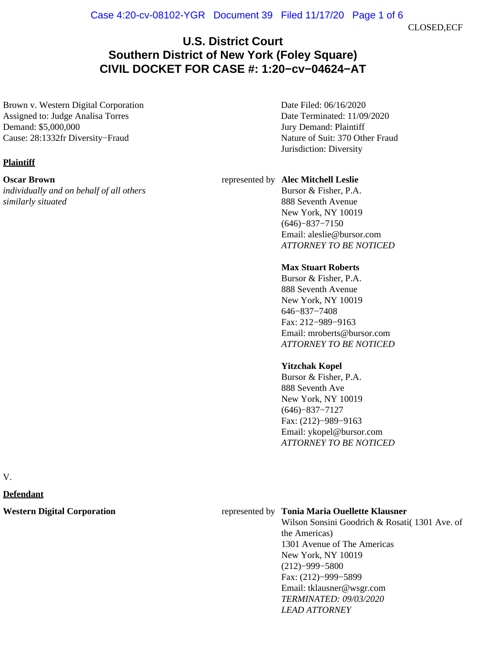CLOSED,ECF

# **U.S. District Court Southern District of New York (Foley Square) CIVIL DOCKET FOR CASE #: 1:20−cv−04624−AT**

Brown v. Western Digital Corporation Assigned to: Judge Analisa Torres Demand: \$5,000,000 Cause: 28:1332fr Diversity−Fraud

**Plaintiff**

#### **Oscar Brown**

*individually and on behalf of all others similarly situated*

Date Filed: 06/16/2020 Date Terminated: 11/09/2020 Jury Demand: Plaintiff Nature of Suit: 370 Other Fraud Jurisdiction: Diversity

#### represented by **Alec Mitchell Leslie**

Bursor & Fisher, P.A. 888 Seventh Avenue New York, NY 10019 (646)−837−7150 Email: aleslie@bursor.com *ATTORNEY TO BE NOTICED*

#### **Max Stuart Roberts**

Bursor & Fisher, P.A. 888 Seventh Avenue New York, NY 10019 646−837−7408 Fax: 212−989−9163 Email: mroberts@bursor.com *ATTORNEY TO BE NOTICED*

### **Yitzchak Kopel**

Bursor & Fisher, P.A. 888 Seventh Ave New York, NY 10019 (646)−837−7127 Fax: (212)−989−9163 Email: ykopel@bursor.com *ATTORNEY TO BE NOTICED*

V.

**Defendant**

#### **Western Digital Corporation** represented by **Tonia Maria Ouellette Klausner**

Wilson Sonsini Goodrich & Rosati( 1301 Ave. of the Americas) 1301 Avenue of The Americas New York, NY 10019 (212)−999−5800 Fax: (212)−999−5899 Email: tklausner@wsgr.com *TERMINATED: 09/03/2020 LEAD ATTORNEY*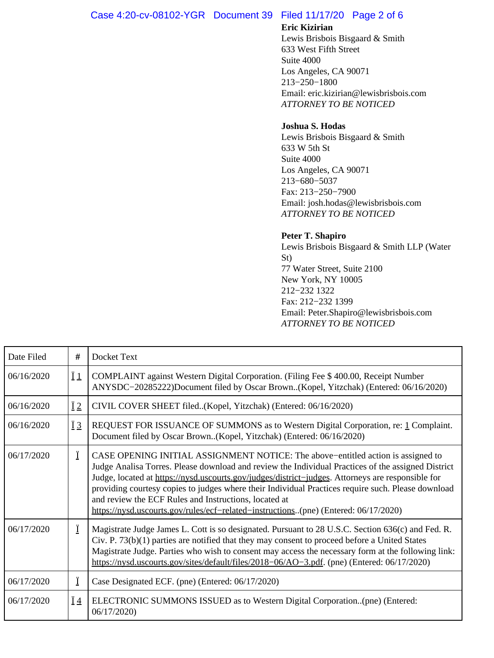# Case 4:20-cv-08102-YGR Document 39 Filed 11/17/20 Page 2 of 6

# **Eric Kizirian**

Lewis Brisbois Bisgaard & Smith 633 West Fifth Street Suite 4000 Los Angeles, CA 90071 213−250−1800 Email: eric.kizirian@lewisbrisbois.com *ATTORNEY TO BE NOTICED*

## **Joshua S. Hodas**

Lewis Brisbois Bisgaard & Smith 633 W 5th St Suite 4000 Los Angeles, CA 90071 213−680−5037 Fax: 213−250−7900 Email: josh.hodas@lewisbrisbois.com *ATTORNEY TO BE NOTICED*

## **Peter T. Shapiro**

Lewis Brisbois Bisgaard & Smith LLP (Water St) 77 Water Street, Suite 2100 New York, NY 10005 212−232 1322 Fax: 212−232 1399 Email: Peter.Shapiro@lewisbrisbois.com *ATTORNEY TO BE NOTICED*

| Date Filed | #               | Docket Text                                                                                                                                                                                                                                                                                                                                                                                                                                                                                                                                       |
|------------|-----------------|---------------------------------------------------------------------------------------------------------------------------------------------------------------------------------------------------------------------------------------------------------------------------------------------------------------------------------------------------------------------------------------------------------------------------------------------------------------------------------------------------------------------------------------------------|
| 06/16/2020 | $\overline{11}$ | COMPLAINT against Western Digital Corporation. (Filing Fee \$ 400.00, Receipt Number<br>ANYSDC-20285222)Document filed by Oscar Brown(Kopel, Yitzchak) (Entered: 06/16/2020)                                                                                                                                                                                                                                                                                                                                                                      |
| 06/16/2020 | $\ddot{I}2$     | CIVIL COVER SHEET filed(Kopel, Yitzchak) (Entered: 06/16/2020)                                                                                                                                                                                                                                                                                                                                                                                                                                                                                    |
| 06/16/2020 | $\overline{1}3$ | REQUEST FOR ISSUANCE OF SUMMONS as to Western Digital Corporation, re: 1 Complaint.<br>Document filed by Oscar Brown(Kopel, Yitzchak) (Entered: 06/16/2020)                                                                                                                                                                                                                                                                                                                                                                                       |
| 06/17/2020 | Ϊ               | CASE OPENING INITIAL ASSIGNMENT NOTICE: The above–entitled action is assigned to<br>Judge Analisa Torres. Please download and review the Individual Practices of the assigned District<br>Judge, located at https://nysd.uscourts.gov/judges/district-judges. Attorneys are responsible for<br>providing courtesy copies to judges where their Individual Practices require such. Please download<br>and review the ECF Rules and Instructions, located at<br>https://nysd.uscourts.gov/rules/ecf-related-instructions(pne) (Entered: 06/17/2020) |
| 06/17/2020 | Ϊ               | Magistrate Judge James L. Cott is so designated. Pursuant to 28 U.S.C. Section 636(c) and Fed. R.<br>$Civ.$ P. 73(b)(1) parties are notified that they may consent to proceed before a United States<br>Magistrate Judge. Parties who wish to consent may access the necessary form at the following link:<br>https://nysd.uscourts.gov/sites/default/files/2018-06/AO-3.pdf. (pne) (Entered: 06/17/2020)                                                                                                                                         |
| 06/17/2020 | Ï               | Case Designated ECF. (pne) (Entered: 06/17/2020)                                                                                                                                                                                                                                                                                                                                                                                                                                                                                                  |
| 06/17/2020 | $\overline{1}4$ | ELECTRONIC SUMMONS ISSUED as to Western Digital Corporation(pne) (Entered:<br>06/17/2020)                                                                                                                                                                                                                                                                                                                                                                                                                                                         |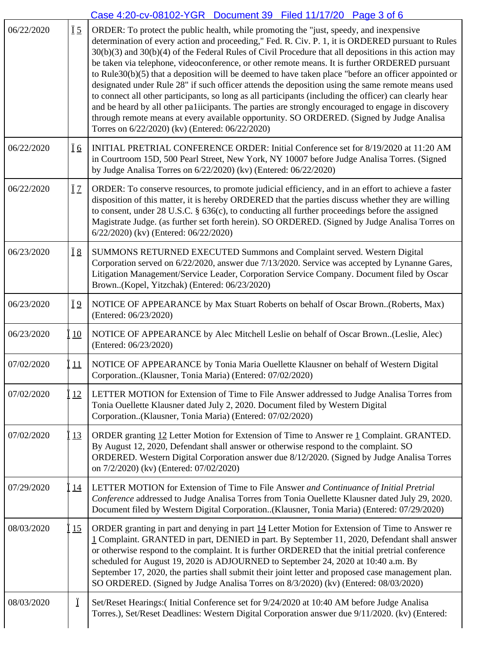|            |                                     | Case 4:20-cv-08102-YGR  Document 39  Filed 11/17/20  Page 3 of 6                                                                                                                                                                                                                                                                                                                                                                                                                                                                                                                                                                                                                                                                                                                                                                                                                                                                                                                          |
|------------|-------------------------------------|-------------------------------------------------------------------------------------------------------------------------------------------------------------------------------------------------------------------------------------------------------------------------------------------------------------------------------------------------------------------------------------------------------------------------------------------------------------------------------------------------------------------------------------------------------------------------------------------------------------------------------------------------------------------------------------------------------------------------------------------------------------------------------------------------------------------------------------------------------------------------------------------------------------------------------------------------------------------------------------------|
| 06/22/2020 | $\underline{\ddot{I}}\underline{5}$ | ORDER: To protect the public health, while promoting the "just, speedy, and inexpensive<br>determination of every action and proceeding," Fed. R. Civ. P. 1, it is ORDERED pursuant to Rules<br>$30(b)(3)$ and $30(b)(4)$ of the Federal Rules of Civil Procedure that all depositions in this action may<br>be taken via telephone, videoconference, or other remote means. It is further ORDERED pursuant<br>to Rule30(b)(5) that a deposition will be deemed to have taken place "before an officer appointed or<br>designated under Rule 28" if such officer attends the deposition using the same remote means used<br>to connect all other participants, so long as all participants (including the officer) can clearly hear<br>and be heard by all other paliicipants. The parties are strongly encouraged to engage in discovery<br>through remote means at every available opportunity. SO ORDERED. (Signed by Judge Analisa<br>Torres on 6/22/2020) (kv) (Entered: 06/22/2020) |
| 06/22/2020 | <u>Ï6</u>                           | INITIAL PRETRIAL CONFERENCE ORDER: Initial Conference set for 8/19/2020 at 11:20 AM<br>in Courtroom 15D, 500 Pearl Street, New York, NY 10007 before Judge Analisa Torres. (Signed<br>by Judge Analisa Torres on 6/22/2020) (kv) (Entered: 06/22/2020)                                                                                                                                                                                                                                                                                                                                                                                                                                                                                                                                                                                                                                                                                                                                    |
| 06/22/2020 | <u>Ï7</u>                           | ORDER: To conserve resources, to promote judicial efficiency, and in an effort to achieve a faster<br>disposition of this matter, it is hereby ORDERED that the parties discuss whether they are willing<br>to consent, under $28$ U.S.C. $\S$ 636(c), to conducting all further proceedings before the assigned<br>Magistrate Judge. (as further set forth herein). SO ORDERED. (Signed by Judge Analisa Torres on<br>6/22/2020) (kv) (Entered: 06/22/2020)                                                                                                                                                                                                                                                                                                                                                                                                                                                                                                                              |
| 06/23/2020 | <u>Ï 8</u>                          | SUMMONS RETURNED EXECUTED Summons and Complaint served. Western Digital<br>Corporation served on 6/22/2020, answer due 7/13/2020. Service was accepted by Lynanne Gares,<br>Litigation Management/Service Leader, Corporation Service Company. Document filed by Oscar<br>Brown(Kopel, Yitzchak) (Entered: 06/23/2020)                                                                                                                                                                                                                                                                                                                                                                                                                                                                                                                                                                                                                                                                    |
| 06/23/2020 | Ï <sub>2</sub>                      | NOTICE OF APPEARANCE by Max Stuart Roberts on behalf of Oscar Brown(Roberts, Max)<br>(Entered: 06/23/2020)                                                                                                                                                                                                                                                                                                                                                                                                                                                                                                                                                                                                                                                                                                                                                                                                                                                                                |
| 06/23/2020 | 10                                  | NOTICE OF APPEARANCE by Alec Mitchell Leslie on behalf of Oscar Brown(Leslie, Alec)<br>(Entered: 06/23/2020)                                                                                                                                                                                                                                                                                                                                                                                                                                                                                                                                                                                                                                                                                                                                                                                                                                                                              |
| 07/02/2020 | 11                                  | NOTICE OF APPEARANCE by Tonia Maria Ouellette Klausner on behalf of Western Digital<br>Corporation(Klausner, Tonia Maria) (Entered: 07/02/2020)                                                                                                                                                                                                                                                                                                                                                                                                                                                                                                                                                                                                                                                                                                                                                                                                                                           |
| 07/02/2020 | 12                                  | LETTER MOTION for Extension of Time to File Answer addressed to Judge Analisa Torres from<br>Tonia Ouellette Klausner dated July 2, 2020. Document filed by Western Digital<br>Corporation(Klausner, Tonia Maria) (Entered: 07/02/2020)                                                                                                                                                                                                                                                                                                                                                                                                                                                                                                                                                                                                                                                                                                                                                   |
| 07/02/2020 | 13                                  | ORDER granting 12 Letter Motion for Extension of Time to Answer re 1 Complaint. GRANTED.<br>By August 12, 2020, Defendant shall answer or otherwise respond to the complaint. SO<br>ORDERED. Western Digital Corporation answer due 8/12/2020. (Signed by Judge Analisa Torres<br>on 7/2/2020) (kv) (Entered: 07/02/2020)                                                                                                                                                                                                                                                                                                                                                                                                                                                                                                                                                                                                                                                                 |
| 07/29/2020 | <u>14</u>                           | LETTER MOTION for Extension of Time to File Answer and Continuance of Initial Pretrial<br>Conference addressed to Judge Analisa Torres from Tonia Ouellette Klausner dated July 29, 2020.<br>Document filed by Western Digital Corporation(Klausner, Tonia Maria) (Entered: 07/29/2020)                                                                                                                                                                                                                                                                                                                                                                                                                                                                                                                                                                                                                                                                                                   |
| 08/03/2020 | 15                                  | ORDER granting in part and denying in part 14 Letter Motion for Extension of Time to Answer re<br>1 Complaint. GRANTED in part, DENIED in part. By September 11, 2020, Defendant shall answer<br>or otherwise respond to the complaint. It is further ORDERED that the initial pretrial conference<br>scheduled for August 19, 2020 is ADJOURNED to September 24, 2020 at 10:40 a.m. By<br>September 17, 2020, the parties shall submit their joint letter and proposed case management plan.<br>SO ORDERED. (Signed by Judge Analisa Torres on 8/3/2020) (kv) (Entered: 08/03/2020)                                                                                                                                                                                                                                                                                                                                                                                                      |
| 08/03/2020 | Ï                                   | Set/Reset Hearings: (Initial Conference set for 9/24/2020 at 10:40 AM before Judge Analisa<br>Torres.), Set/Reset Deadlines: Western Digital Corporation answer due 9/11/2020. (kv) (Entered:                                                                                                                                                                                                                                                                                                                                                                                                                                                                                                                                                                                                                                                                                                                                                                                             |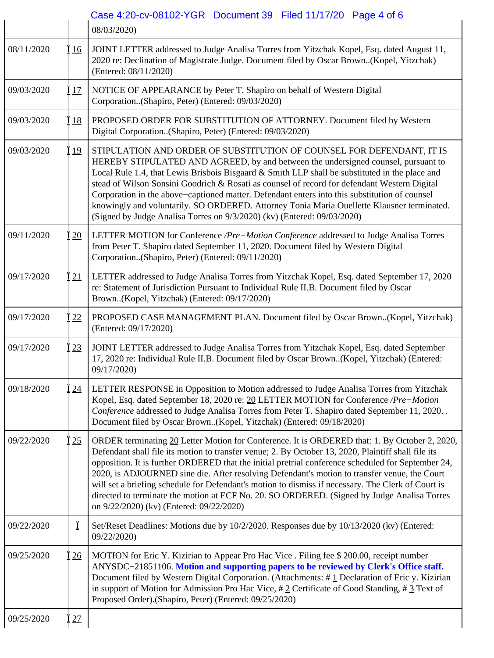|            |           | Case 4:20-cv-08102-YGR  Document 39  Filed 11/17/20  Page 4 of 6<br>08/03/2020)                                                                                                                                                                                                                                                                                                                                                                                                                                                                                                                                                                             |
|------------|-----------|-------------------------------------------------------------------------------------------------------------------------------------------------------------------------------------------------------------------------------------------------------------------------------------------------------------------------------------------------------------------------------------------------------------------------------------------------------------------------------------------------------------------------------------------------------------------------------------------------------------------------------------------------------------|
| 08/11/2020 | 16        | JOINT LETTER addressed to Judge Analisa Torres from Yitzchak Kopel, Esq. dated August 11,<br>2020 re: Declination of Magistrate Judge. Document filed by Oscar Brown(Kopel, Yitzchak)<br>(Entered: 08/11/2020)                                                                                                                                                                                                                                                                                                                                                                                                                                              |
| 09/03/2020 | 17        | NOTICE OF APPEARANCE by Peter T. Shapiro on behalf of Western Digital<br>Corporation(Shapiro, Peter) (Entered: 09/03/2020)                                                                                                                                                                                                                                                                                                                                                                                                                                                                                                                                  |
| 09/03/2020 | <u>18</u> | PROPOSED ORDER FOR SUBSTITUTION OF ATTORNEY. Document filed by Western<br>Digital Corporation(Shapiro, Peter) (Entered: 09/03/2020)                                                                                                                                                                                                                                                                                                                                                                                                                                                                                                                         |
| 09/03/2020 | 19        | STIPULATION AND ORDER OF SUBSTITUTION OF COUNSEL FOR DEFENDANT, IT IS<br>HEREBY STIPULATED AND AGREED, by and between the undersigned counsel, pursuant to<br>Local Rule 1.4, that Lewis Brisbois Bisgaard & Smith LLP shall be substituted in the place and<br>stead of Wilson Sonsini Goodrich & Rosati as counsel of record for defendant Western Digital<br>Corporation in the above-captioned matter. Defendant enters into this substitution of counsel<br>knowingly and voluntarily. SO ORDERED. Attorney Tonia Maria Ouellette Klausner terminated.<br>(Signed by Judge Analisa Torres on 9/3/2020) (kv) (Entered: 09/03/2020)                      |
| 09/11/2020 | 20        | LETTER MOTION for Conference / Pre-Motion Conference addressed to Judge Analisa Torres<br>from Peter T. Shapiro dated September 11, 2020. Document filed by Western Digital<br>Corporation(Shapiro, Peter) (Entered: 09/11/2020)                                                                                                                                                                                                                                                                                                                                                                                                                            |
| 09/17/2020 | 21        | LETTER addressed to Judge Analisa Torres from Yitzchak Kopel, Esq. dated September 17, 2020<br>re: Statement of Jurisdiction Pursuant to Individual Rule II.B. Document filed by Oscar<br>Brown(Kopel, Yitzchak) (Entered: 09/17/2020)                                                                                                                                                                                                                                                                                                                                                                                                                      |
| 09/17/2020 | 22        | PROPOSED CASE MANAGEMENT PLAN. Document filed by Oscar Brown(Kopel, Yitzchak)<br>(Entered: 09/17/2020)                                                                                                                                                                                                                                                                                                                                                                                                                                                                                                                                                      |
| 09/17/2020 | 23        | JOINT LETTER addressed to Judge Analisa Torres from Yitzchak Kopel, Esq. dated September<br>17, 2020 re: Individual Rule II.B. Document filed by Oscar Brown(Kopel, Yitzchak) (Entered:<br>09/17/2020)                                                                                                                                                                                                                                                                                                                                                                                                                                                      |
| 09/18/2020 | 24        | LETTER RESPONSE in Opposition to Motion addressed to Judge Analisa Torres from Yitzchak<br>Kopel, Esq. dated September 18, 2020 re: 20 LETTER MOTION for Conference /Pre-Motion<br>Conference addressed to Judge Analisa Torres from Peter T. Shapiro dated September 11, 2020. .<br>Document filed by Oscar Brown(Kopel, Yitzchak) (Entered: 09/18/2020)                                                                                                                                                                                                                                                                                                   |
| 09/22/2020 | 25        | ORDER terminating 20 Letter Motion for Conference. It is ORDERED that: 1. By October 2, 2020,<br>Defendant shall file its motion to transfer venue; 2. By October 13, 2020, Plaintiff shall file its<br>opposition. It is further ORDERED that the initial pretrial conference scheduled for September 24,<br>2020, is ADJOURNED sine die. After resolving Defendant's motion to transfer venue, the Court<br>will set a briefing schedule for Defendant's motion to dismiss if necessary. The Clerk of Court is<br>directed to terminate the motion at ECF No. 20. SO ORDERED. (Signed by Judge Analisa Torres<br>on 9/22/2020) (kv) (Entered: 09/22/2020) |
| 09/22/2020 | Ï         | Set/Reset Deadlines: Motions due by 10/2/2020. Responses due by 10/13/2020 (kv) (Entered:<br>09/22/2020)                                                                                                                                                                                                                                                                                                                                                                                                                                                                                                                                                    |
| 09/25/2020 | 26        | MOTION for Eric Y. Kizirian to Appear Pro Hac Vice. Filing fee \$ 200.00, receipt number<br>ANYSDC-21851106. Motion and supporting papers to be reviewed by Clerk's Office staff.<br>Document filed by Western Digital Corporation. (Attachments: #1 Declaration of Eric y. Kizirian<br>in support of Motion for Admission Pro Hac Vice, #2 Certificate of Good Standing, #3 Text of<br>Proposed Order).(Shapiro, Peter) (Entered: 09/25/2020)                                                                                                                                                                                                              |
| 09/25/2020 | 27        |                                                                                                                                                                                                                                                                                                                                                                                                                                                                                                                                                                                                                                                             |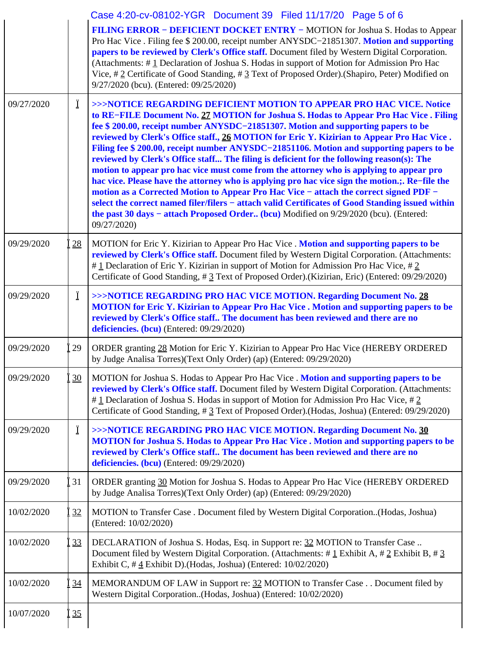|            |           | Case 4:20-cv-08102-YGR  Document 39  Filed 11/17/20  Page 5 of 6                                                                                                                                                                                                                                                                                                                                                                                                                                                                                                                                                                                                                                                                                                                                                                                                                                                                                                                                                                         |
|------------|-----------|------------------------------------------------------------------------------------------------------------------------------------------------------------------------------------------------------------------------------------------------------------------------------------------------------------------------------------------------------------------------------------------------------------------------------------------------------------------------------------------------------------------------------------------------------------------------------------------------------------------------------------------------------------------------------------------------------------------------------------------------------------------------------------------------------------------------------------------------------------------------------------------------------------------------------------------------------------------------------------------------------------------------------------------|
|            |           | FILING ERROR - DEFICIENT DOCKET ENTRY - MOTION for Joshua S. Hodas to Appear<br>Pro Hac Vice . Filing fee \$ 200.00, receipt number ANYSDC-21851307. Motion and supporting<br>papers to be reviewed by Clerk's Office staff. Document filed by Western Digital Corporation.<br>(Attachments: #1 Declaration of Joshua S. Hodas in support of Motion for Admission Pro Hac<br>Vice, #2 Certificate of Good Standing, #3 Text of Proposed Order).(Shapiro, Peter) Modified on<br>9/27/2020 (bcu). (Entered: 09/25/2020)                                                                                                                                                                                                                                                                                                                                                                                                                                                                                                                    |
| 09/27/2020 | Ï         | >>>NOTICE REGARDING DEFICIENT MOTION TO APPEAR PRO HAC VICE. Notice<br>to RE-FILE Document No. 27 MOTION for Joshua S. Hodas to Appear Pro Hac Vice. Filing<br>fee \$ 200.00, receipt number ANYSDC-21851307. Motion and supporting papers to be<br>reviewed by Clerk's Office staff., 26 MOTION for Eric Y. Kizirian to Appear Pro Hac Vice.<br>Filing fee \$ 200.00, receipt number ANYSDC-21851106. Motion and supporting papers to be<br>reviewed by Clerk's Office staff The filing is deficient for the following reason(s): The<br>motion to appear pro hac vice must come from the attorney who is applying to appear pro<br>hac vice. Please have the attorney who is applying pro hac vice sign the motion.;. Re-file the<br>motion as a Corrected Motion to Appear Pro Hac Vice - attach the correct signed PDF -<br>select the correct named filer/filers - attach valid Certificates of Good Standing issued within<br>the past 30 days - attach Proposed Order (bcu) Modified on 9/29/2020 (bcu). (Entered:<br>09/27/2020) |
| 09/29/2020 | 28        | MOTION for Eric Y. Kizirian to Appear Pro Hac Vice. <b>Motion and supporting papers to be</b><br>reviewed by Clerk's Office staff. Document filed by Western Digital Corporation. (Attachments:<br>#1 Declaration of Eric Y. Kizirian in support of Motion for Admission Pro Hac Vice, #2<br>Certificate of Good Standing, # 3 Text of Proposed Order).(Kizirian, Eric) (Entered: 09/29/2020)                                                                                                                                                                                                                                                                                                                                                                                                                                                                                                                                                                                                                                            |
| 09/29/2020 | Ï         | >>>NOTICE REGARDING PRO HAC VICE MOTION. Regarding Document No. 28<br><b>MOTION</b> for Eric Y. Kizirian to Appear Pro Hac Vice . Motion and supporting papers to be<br>reviewed by Clerk's Office staff The document has been reviewed and there are no<br>deficiencies. (bcu) (Entered: 09/29/2020)                                                                                                                                                                                                                                                                                                                                                                                                                                                                                                                                                                                                                                                                                                                                    |
| 09/29/2020 | 29        | ORDER granting 28 Motion for Eric Y. Kizirian to Appear Pro Hac Vice (HEREBY ORDERED<br>by Judge Analisa Torres)(Text Only Order) (ap) (Entered: 09/29/2020)                                                                                                                                                                                                                                                                                                                                                                                                                                                                                                                                                                                                                                                                                                                                                                                                                                                                             |
| 09/29/2020 | 30        | MOTION for Joshua S. Hodas to Appear Pro Hac Vice . Motion and supporting papers to be<br>reviewed by Clerk's Office staff. Document filed by Western Digital Corporation. (Attachments:<br># 1 Declaration of Joshua S. Hodas in support of Motion for Admission Pro Hac Vice, # 2<br>Certificate of Good Standing, # 3 Text of Proposed Order).(Hodas, Joshua) (Entered: 09/29/2020)                                                                                                                                                                                                                                                                                                                                                                                                                                                                                                                                                                                                                                                   |
| 09/29/2020 | Ϊ         | >>>NOTICE REGARDING PRO HAC VICE MOTION. Regarding Document No. 30<br><b>MOTION</b> for Joshua S. Hodas to Appear Pro Hac Vice . Motion and supporting papers to be<br>reviewed by Clerk's Office staff The document has been reviewed and there are no<br>deficiencies. (bcu) (Entered: 09/29/2020)                                                                                                                                                                                                                                                                                                                                                                                                                                                                                                                                                                                                                                                                                                                                     |
| 09/29/2020 | 31        | ORDER granting 30 Motion for Joshua S. Hodas to Appear Pro Hac Vice (HEREBY ORDERED<br>by Judge Analisa Torres)(Text Only Order) (ap) (Entered: 09/29/2020)                                                                                                                                                                                                                                                                                                                                                                                                                                                                                                                                                                                                                                                                                                                                                                                                                                                                              |
| 10/02/2020 | 32        | MOTION to Transfer Case . Document filed by Western Digital Corporation(Hodas, Joshua)<br>(Entered: 10/02/2020)                                                                                                                                                                                                                                                                                                                                                                                                                                                                                                                                                                                                                                                                                                                                                                                                                                                                                                                          |
| 10/02/2020 | 33        | DECLARATION of Joshua S. Hodas, Esq. in Support re: 32 MOTION to Transfer Case<br>Document filed by Western Digital Corporation. (Attachments: # $\pm$ Exhibit A, # 2 Exhibit B, # 3<br>Exhibit C, $\#$ 4 Exhibit D). (Hodas, Joshua) (Entered: 10/02/2020)                                                                                                                                                                                                                                                                                                                                                                                                                                                                                                                                                                                                                                                                                                                                                                              |
| 10/02/2020 | 34        | MEMORANDUM OF LAW in Support re: 32 MOTION to Transfer Case Document filed by<br>Western Digital Corporation(Hodas, Joshua) (Entered: 10/02/2020)                                                                                                                                                                                                                                                                                                                                                                                                                                                                                                                                                                                                                                                                                                                                                                                                                                                                                        |
| 10/07/2020 | <u>35</u> |                                                                                                                                                                                                                                                                                                                                                                                                                                                                                                                                                                                                                                                                                                                                                                                                                                                                                                                                                                                                                                          |